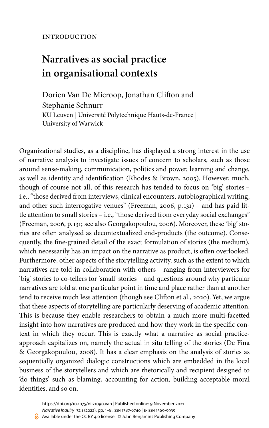# **Narratives as social practice in organisational contexts**

Dorien Van De Mieroop, Jonathan Clifton and Stephanie Schnurr KU Leuven | Université Polytechnique Hauts-de-France | University of Warwick

Organizational studies, as a discipline, has displayed a strong interest in the use of narrative analysis to investigate issues of concern to scholars, such as those around sense-making, communication, politics and power, learning and change, as well as identity and identification ([Rhodes & Brown, 2005\)](#page-6-0). However, much, though of course not all, of this research has tended to focus on 'big' stories – i.e., "those derived from interviews, clinical encounters, autobiographical writing, and other such interrogative venues" ([Freeman, 2006,](#page-6-1) p.131) – and has paid little attention to small stories – i.e., "those derived from everyday social exchanges" [\(Freeman, 2006,](#page-6-1) p.131; see also [Georgakopoulou, 2006\)](#page-6-2). Moreover, these 'big' stories are often analysed as decontextualized end-products (the outcome). Consequently, the fine-grained detail of the exact formulation of stories (the medium), which necessarily has an impact on the narrative as product, is often overlooked. Furthermore, other aspects of the storytelling activity, such as the extent to which narratives are told in collaboration with others – ranging from interviewers for 'big' stories to co-tellers for 'small' stories – and questions around why particular narratives are told at one particular point in time and place rather than at another tend to receive much less attention (though see [Clifton et](#page-6-3) al., 2020). Yet, we argue that these aspects of storytelling are particularly deserving of academic attention. This is because they enable researchers to obtain a much more multi-facetted insight into how narratives are produced and how they work in the specific context in which they occur. This is exactly what a narrative as social practiceapproach capitalizes on, namely the actual in situ telling of the stories [\(De Fina](#page-6-4) [& Georgakopoulou, 2008\)](#page-6-4). It has a clear emphasis on the analysis of stories as sequentially organized dialogic constructions which are embedded in the local business of the storytellers and which are rhetorically and recipient designed to 'do things' such as blaming, accounting for action, building acceptable moral identities, and so on.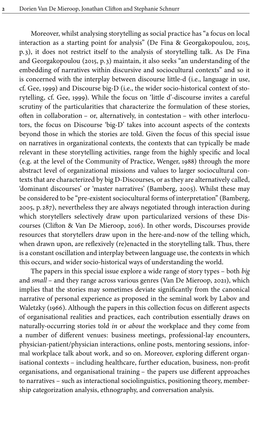Moreover, whilst analysing storytelling as social practice has "a focus on local interaction as a starting point for analysis" ([De Fina & Georgakopoulou, 2015](#page-6-5), p. 3), it does not restrict itself to the analysis of storytelling talk. As De Fina and Georgakopoulou ([2015,](#page-6-5) p. 3) maintain, it also seeks "an understanding of the embedding of narratives within discursive and sociocultural contexts" and so it is concerned with the interplay between discourse little-d (i.e., language in use, cf. [Gee, 1999](#page-6-6)) and Discourse big-D (i.e., the wider socio-historical context of storytelling, cf. [Gee, 1999](#page-6-6)). While the focus on 'little d'-discourse invites a careful scrutiny of the particularities that characterize the formulation of these stories, often in collaboration – or, alternatively, in contestation – with other interlocutors, the focus on Discourse 'big-D' takes into account aspects of the contexts beyond those in which the stories are told. Given the focus of this special issue on narratives in organizational contexts, the contexts that can typically be made relevant in these storytelling activities, range from the highly specific and local (e.g. at the level of the Community of Practice, [Wenger, 1988\)](#page-6-7) through the more abstract level of organizational missions and values to larger sociocultural contexts that are characterized by big D-Discourses, or as they are alternatively called, 'dominant discourses' or 'master narratives' ([Bamberg, 2005\)](#page-6-8). Whilst these may be considered to be "pre-existent sociocultural forms of interpretation" ([Bamberg,](#page-6-8) [2005](#page-6-8), p. 287), nevertheless they are always negotiated through interaction during which storytellers selectively draw upon particularized versions of these Discourses ([Clifton & Van De Mieroop, 2016](#page-6-9)). In other words, Discourses provide resources that storytellers draw upon in the here-and-now of the telling which, when drawn upon, are reflexively (re)enacted in the storytelling talk. Thus, there is a constant oscillation and interplay between language use, the contexts in which this occurs, and wider socio-historical ways of understanding the world.

The papers in this special issue explore a wide range of story types – both *big* and *small* – and they range across various genres ([Van De Mieroop, 2021](#page-6-10)), which implies that the stories may sometimes deviate significantly from the canonical narrative of personal experience as proposed in the seminal work by [Labov and](#page-6-11) [Waletzky \(1966\)](#page-6-11). Although the papers in this collection focus on different aspects of organisational realities and practices, each contribution essentially draws on naturally-occurring stories told *in* or *about* the workplace and they come from a number of different venues: business meetings, professional-lay encounters, physician-patient/physician interactions, online posts, mentoring sessions, informal workplace talk about work, and so on. Moreover, exploring different organisational contexts – including healthcare, further education, business, non-profit organisations, and organisational training – the papers use different approaches to narratives – such as interactional sociolinguistics, positioning theory, membership categorization analysis, ethnography, and conversation analysis.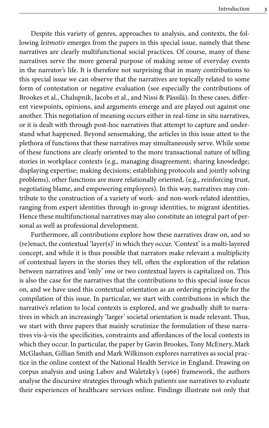Despite this variety of genres, approaches to analysis, and contexts, the following *leitmotiv* emerges from the papers in this special issue, namely that these narratives are clearly multifunctional social practices. Of course, many of these narratives serve the more general purpose of making sense of everyday events in the narrator's life. It is therefore not surprising that in many contributions to this special issue we can observe that the narratives are topically related to some form of contestation or negative evaluation (see especially the contributions of Brookes et al., Chalupnik, Jacobs et al., and Nissi & Pässilä). In these cases, different viewpoints, opinions, and arguments emerge and are played out against one another. This negotiation of meaning occurs either in real-time in situ narratives, or it is dealt with through post-hoc narratives that attempt to capture and understand what happened. Beyond sensemaking, the articles in this issue attest to the plethora of functions that these narratives may simultaneously serve. While some of these functions are clearly oriented to the more transactional nature of telling stories in workplace contexts (e.g., managing disagreement; sharing knowledge; displaying expertise; making decisions; establishing protocols and jointly solving problems), other functions are more relationally oriented, (e.g., reinforcing trust, negotiating blame, and empowering employees). In this way, narratives may contribute to the construction of a variety of work- and non-work-related identities, ranging from expert identities through in-group identities, to migrant identities. Hence these multifunctional narratives may also constitute an integral part of personal as well as professional development.

Furthermore, all contributions explore how these narratives draw on, and so (re)enact, the contextual 'layer(s)' in which they occur. 'Context' is a multi-layered concept, and while it is thus possible that narrators make relevant a multiplicity of contextual layers in the stories they tell, often the exploration of the relation between narratives and 'only' one or two contextual layers is capitalized on. This is also the case for the narratives that the contributions to this special issue focus on, and we have used this contextual orientation as an ordering principle for the compilation of this issue. In particular, we start with contributions in which the narrative's relation to local contexts is explored, and we gradually shift to narratives in which an increasingly 'larger' societal orientation is made relevant. Thus, we start with three papers that mainly scrutinize the formulation of these narratives vis-à-vis the specificities, constraints and affordances of the local contexts in which they occur. In particular, the paper by Gavin Brookes, Tony McEnery, Mark McGlashan, Gillian Smith and Mark Wilkinson explores narratives as social practice in the online context of the National Health Service in England. Drawing on corpus analysis and using [Labov and Waletzky's \(1966\)](#page-6-11) framework, the authors analyse the discursive strategies through which patients use narratives to evaluate their experiences of healthcare services online. Findings illustrate not only that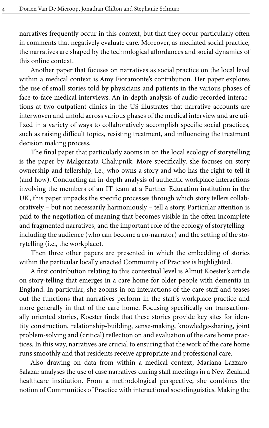narratives frequently occur in this context, but that they occur particularly often in comments that negatively evaluate care. Moreover, as mediated social practice, the narratives are shaped by the technological affordances and social dynamics of this online context.

Another paper that focuses on narratives as social practice on the local level within a medical context is Amy Fioramonte's contribution. Her paper explores the use of small stories told by physicians and patients in the various phases of face-to-face medical interviews. An in-depth analysis of audio-recorded interactions at two outpatient clinics in the US illustrates that narrative accounts are interwoven and unfold across various phases of the medical interview and are utilized in a variety of ways to collaboratively accomplish specific social practices, such as raising difficult topics, resisting treatment, and influencing the treatment decision making process.

The final paper that particularly zooms in on the local ecology of storytelling is the paper by Malgorzata Chalupnik. More specifically, she focuses on story ownership and tellership, i.e., who owns a story and who has the right to tell it (and how). Conducting an in-depth analysis of authentic workplace interactions involving the members of an IT team at a Further Education institution in the UK, this paper unpacks the specific processes through which story tellers collaboratively – but not necessarily harmoniously – tell a story. Particular attention is paid to the negotiation of meaning that becomes visible in the often incomplete and fragmented narratives, and the important role of the ecology of storytelling – including the audience (who can become a co-narrator) and the setting of the storytelling (i.e., the workplace).

Then three other papers are presented in which the embedding of stories within the particular locally enacted Community of Practice is highlighted.

A first contribution relating to this contextual level is Almut Koester's article on story-telling that emerges in a care home for older people with dementia in England. In particular, she zooms in on interactions of the care staff and teases out the functions that narratives perform in the staff 's workplace practice and more generally in that of the care home. Focusing specifically on transactionally oriented stories, Koester finds that these stories provide key sites for identity construction, relationship-building, sense-making, knowledge-sharing, joint problem-solving and (critical) reflection on and evaluation of the care home practices. In this way, narratives are crucial to ensuring that the work of the care home runs smoothly and that residents receive appropriate and professional care.

Also drawing on data from within a medical context, Mariana Lazzaro-Salazar analyses the use of case narratives during staff meetings in a New Zealand healthcare institution. From a methodological perspective, she combines the notion of Communities of Practice with interactional sociolinguistics. Making the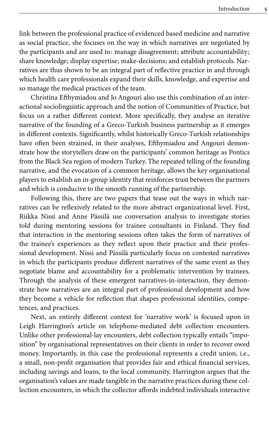link between the professional practice of evidenced based medicine and narrative as social practice, she focuses on the way in which narratives are negotiated by the participants and are used to: manage disagreement; attribute accountability; share knowledge; display expertise; make-decisions; and establish protocols. Narratives are thus shown to be an integral part of reflective practice in and through which health care professionals expand their skills, knowledge, and expertise and so manage the medical practices of the team.

Christina Efthymiadou and Jo Angouri also use this combination of an interactional sociolinguistic approach and the notion of Communities of Practice, but focus on a rather different context. More specifically, they analyse an iterative narrative of the founding of a Greco-Turkish business partnership as it emerges in different contexts. Significantly, whilst historically Greco-Turkish relationships have often been strained, in their analyses, Efthymiadou and Angouri demonstrate how the storytellers draw on the participants' common heritage as Pontics from the Black Sea region of modern Turkey. The repeated telling of the founding narrative, and the evocation of a common heritage, allows the key organisational players to establish an in-group identity that reinforces trust between the partners and which is conducive to the smooth running of the partnership.

Following this, there are two papers that tease out the ways in which narratives can be reflexively related to the more abstract organizational level. First, Riikka Nissi and Anne Pässilä use conversation analysis to investigate stories told during mentoring sessions for trainee consultants in Finland. They find that interaction in the mentoring sessions often takes the form of narratives of the trainee's experiences as they reflect upon their practice and their professional development. Nissi and Pässilä particularly focus on contested narratives in which the participants produce different narratives of the same event as they negotiate blame and accountability for a problematic intervention by trainees. Through the analysis of these emergent narratives-in-interaction, they demonstrate how narratives are an integral part of professional development and how they become a vehicle for reflection that shapes professional identities, competences, and practices.

Next, an entirely different context for 'narrative work' is focused upon in Leigh Harrington's article on telephone-mediated debt collection encounters. Unlike other professional-lay encounters, debt collection typically entails "imposition" by organisational representatives on their clients in order to recover owed money. Importantly, in this case the professional represents a credit union, i.e., a small, non-profit organisation that provides fair and ethical financial services, including savings and loans, to the local community. Harrington argues that the organisation's values are made tangible in the narrative practices during these collection encounters, in which the collector affords indebted individuals interactive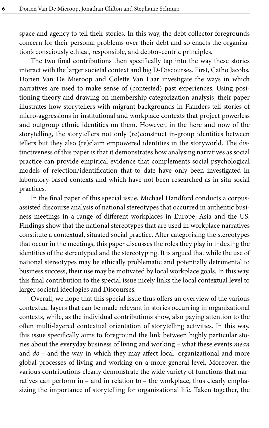space and agency to tell their stories. In this way, the debt collector foregrounds concern for their personal problems over their debt and so enacts the organisation's consciously ethical, responsible, and debtor-centric principles.

The two final contributions then specifically tap into the way these stories interact with the larger societal context and big D-Discourses. First, Catho Jacobs, Dorien Van De Mieroop and Colette Van Laar investigate the ways in which narratives are used to make sense of (contested) past experiences. Using positioning theory and drawing on membership categorization analysis, their paper illustrates how storytellers with migrant backgrounds in Flanders tell stories of micro-aggressions in institutional and workplace contexts that project powerless and outgroup ethnic identities on them. However, in the here and now of the storytelling, the storytellers not only (re)construct in-group identities between tellers but they also (re)claim empowered identities in the storyworld. The distinctiveness of this paper is that it demonstrates how analysing narratives as social practice can provide empirical evidence that complements social psychological models of rejection/identification that to date have only been investigated in laboratory-based contexts and which have not been researched as in situ social practices.

In the final paper of this special issue, Michael Handford conducts a corpusassisted discourse analysis of national stereotypes that occurred in authentic business meetings in a range of different workplaces in Europe, Asia and the US. Findings show that the national stereotypes that are used in workplace narratives constitute a contextual, situated social practice. After categorising the stereotypes that occur in the meetings, this paper discusses the roles they play in indexing the identities of the stereotyped and the stereotyping. It is argued that while the use of national stereotypes may be ethically problematic and potentially detrimental to business success, their use may be motivated by local workplace goals. In this way, this final contribution to the special issue nicely links the local contextual level to larger societal ideologies and Discourses.

Overall, we hope that this special issue thus offers an overview of the various contextual layers that can be made relevant in stories occurring in organizational contexts, while, as the individual contributions show, also paying attention to the often multi-layered contextual orientation of storytelling activities. In this way, this issue specifically aims to foreground the link between highly particular stories about the everyday business of living and working – what these events *mean* and *do* – and the way in which they may affect local, organizational and more global processes of living and working on a more general level. Moreover, the various contributions clearly demonstrate the wide variety of functions that narratives can perform in – and in relation to – the workplace, thus clearly emphasizing the importance of storytelling for organizational life. Taken together, the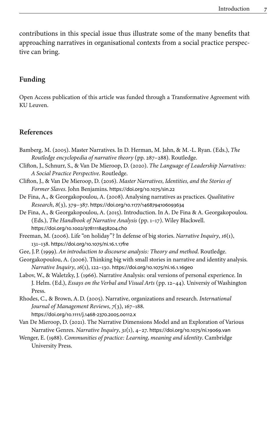contributions in this special issue thus illustrate some of the many benefits that approaching narratives in organisational contexts from a social practice perspective can bring.

### **Funding**

Open Access publication of this article was funded through a Transformative Agreement with KU Leuven.

#### **References**

- <span id="page-6-8"></span>Bamberg, M. (2005). Master Narratives. In D. Herman, M. Jahn, & M.-L. Ryan. (Eds.), *The Routledge encyclopedia of narrative theory* (pp. 287–288). Routledge.
- <span id="page-6-3"></span>Clifton, J., Schnurr, S., & Van De Mieroop, D. (2020). *The Language of Leadership Narratives: A Social Practice Perspective*. Routledge.
- <span id="page-6-9"></span>Clifton, J., & Van De Mieroop, D. (2016). *Master Narratives, Identities, and the Stories of Former Slaves*. John Benjamins. [https://doi.org/10.1075/sin.22](https://doi.org/10.1075%2Fsin.22)
- <span id="page-6-4"></span>De Fina, A., & Georgakopoulou, A. (2008). Analysing narratives as practices. *Qualitative Research*, *8*(3), 379–387. [https://doi.org/10.1177/1468794106093634](https://doi.org/10.1177%2F1468794106093634)
- <span id="page-6-5"></span>De Fina, A., & Georgakopoulou, A. (2015). Introduction. In A. De Fina & A. Georgakopoulou. (Eds.), *The Handbook of Narrative Analysis* (pp. 1–17). Wiley Blackwell. [https://doi.org/10.1002/9781118458204.ch0](https://doi.org/10.1002%2F9781118458204.ch0)
- <span id="page-6-1"></span>Freeman, M. (2006). Life "on holiday"? In defense of big stories. *Narrative Inquiry*, *16*(1), 131–138. [https://doi.org/10.1075/ni.16.1.17fre](https://doi.org/10.1075%2Fni.16.1.17fre)
- <span id="page-6-6"></span>Gee, J.P. (1999). *An introduction to discourse analysis: Theory and method*. Routledge.
- <span id="page-6-2"></span>Georgakopoulou, A. (2006). Thinking big with small stories in narrative and identity analysis. *Narrative Inquiry*, *16*(1), 122–130. [https://doi.org/10.1075/ni.16.1.16geo](https://doi.org/10.1075%2Fni.16.1.16geo)
- <span id="page-6-11"></span>Labov, W., & Waletzky, J. (1966). Narrative Analysis: oral versions of personal experience. In J. Helm. (Ed.), *Essays on the Verbal and Visual Arts* (pp. 12–44). Universiy of Washington Press.
- <span id="page-6-0"></span>Rhodes, C., & Brown, A.D. (2005). Narrative, organizations and research. *International Journal of Management Reviews*, *7*(3), 167–188. [https://doi.org/10.1111/j.1468-2370.2005.00112.x](https://doi.org/10.1111%2Fj.1468-2370.2005.00112.x)
- <span id="page-6-10"></span>Van De Mieroop, D. (2021). The Narrative Dimensions Model and an Exploration of Various Narrative Genres. *Narrative Inquiry*, *31*(1), 4–27. [https://doi.org/10.1075/ni.19069.van](https://doi.org/10.1075%2Fni.19069.van)
- <span id="page-6-7"></span>Wenger, E. (1988). *Communities of practice: Learning, meaning and identity*. Cambridge University Press.